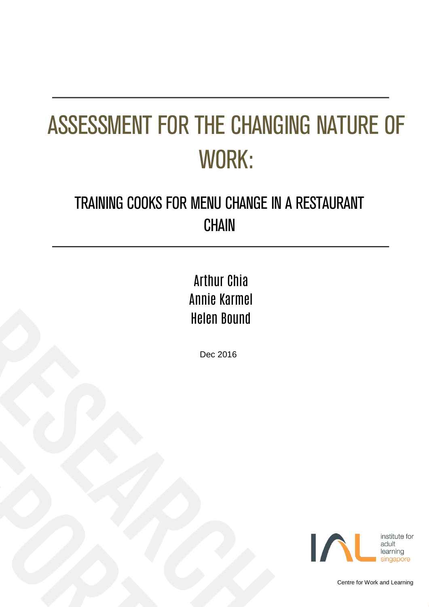# ASSESSMENT FOR THE CHANGING NATURE OF WORK:

### TRAINING COOKS FOR MENU CHANGE IN A RESTAURANT **CHAIN**

### Arthur Chia Annie Karmel Helen Bound

Dec 2016



Centre for Work and Learning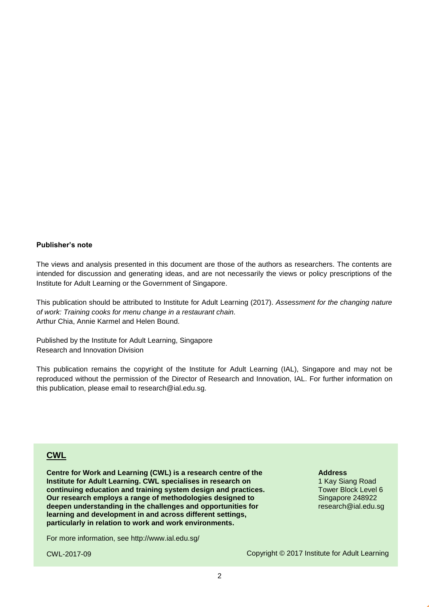#### **Publisher's note**

The views and analysis presented in this document are those of the authors as researchers. The contents are intended for discussion and generating ideas, and are not necessarily the views or policy prescriptions of the Institute for Adult Learning or the Government of Singapore.

This publication should be attributed to Institute for Adult Learning (2017). *Assessment for the changing nature of work: Training cooks for menu change in a restaurant chain.* Arthur Chia, Annie Karmel and Helen Bound.

Published by the Institute for Adult Learning, Singapore Research and Innovation Division

This publication remains the copyright of the Institute for Adult Learning (IAL), Singapore and may not be reproduced without the permission of the Director of Research and Innovation, IAL. For further information on this publication, please email to research@ial.edu.sg.

#### **CWL**

**Centre for Work and Learning (CWL) is a research centre of the Institute for Adult Learning. CWL specialises in research on continuing education and training system design and practices. Our research employs a range of methodologies designed to deepen understanding in the challenges and opportunities for learning and development in and across different settings, particularly in relation to work and work environments.**

For more information, see<http://www.ial.edu.sg/>

CWL-2017-09

**Address**

1 Kay Siang Road Tower Block Level 6 Singapore 248922 research@ial.edu.sg

Copyright © 2017 Institute for Adult Learning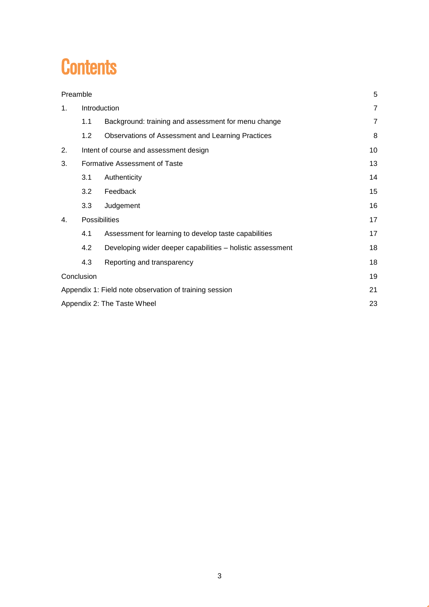### **Contents**

| Preamble                                               |                               | 5                                                          |                |
|--------------------------------------------------------|-------------------------------|------------------------------------------------------------|----------------|
| 1 <sub>1</sub>                                         | Introduction                  |                                                            | $\overline{7}$ |
|                                                        | 1.1                           | Background: training and assessment for menu change        | $\overline{7}$ |
|                                                        | 1.2                           | Observations of Assessment and Learning Practices          | 8              |
| 2.                                                     |                               | Intent of course and assessment design                     | 10             |
| 3.                                                     | Formative Assessment of Taste |                                                            | 13             |
|                                                        | 3.1                           | Authenticity                                               | 14             |
|                                                        | 3.2                           | Feedback                                                   | 15             |
|                                                        | 3.3                           | Judgement                                                  | 16             |
| $\mathbf{4}$ .                                         | <b>Possibilities</b>          |                                                            | 17             |
|                                                        | 4.1                           | Assessment for learning to develop taste capabilities      | 17             |
|                                                        | 4.2                           | Developing wider deeper capabilities - holistic assessment | 18             |
|                                                        | 4.3                           | Reporting and transparency                                 | 18             |
| Conclusion                                             |                               |                                                            | 19             |
| Appendix 1: Field note observation of training session |                               |                                                            | 21             |
| Appendix 2: The Taste Wheel                            |                               |                                                            | 23             |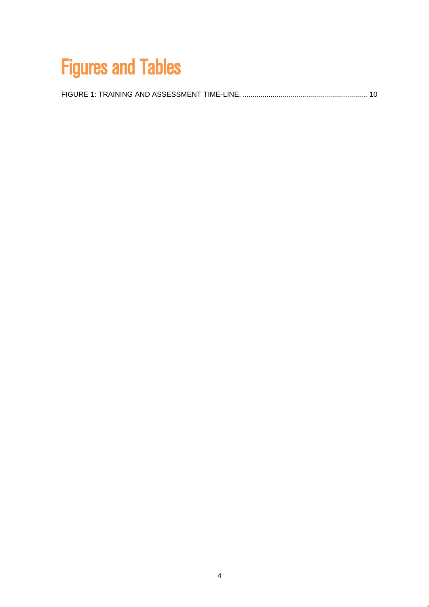# Figures and Tables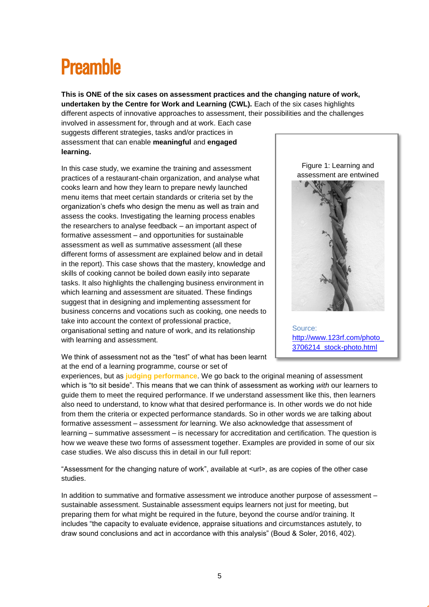### <span id="page-4-0"></span>**Preamble**

**This is ONE of the six cases on assessment practices and the changing nature of work, undertaken by the Centre for Work and Learning (CWL).** Each of the six cases highlights different aspects of innovative approaches to assessment, their possibilities and the challenges

involved in assessment for, through and at work. Each case suggests different strategies, tasks and/or practices in assessment that can enable **meaningful** and **engaged learning.** 

In this case study, we examine the training and assessment practices of a restaurant-chain organization, and analyse what cooks learn and how they learn to prepare newly launched menu items that meet certain standards or criteria set by the organization's chefs who design the menu as well as train and assess the cooks. Investigating the learning process enables the researchers to analyse feedback – an important aspect of formative assessment – and opportunities for sustainable assessment as well as summative assessment (all these different forms of assessment are explained below and in detail in the report). This case shows that the mastery, knowledge and skills of cooking cannot be boiled down easily into separate tasks. It also highlights the challenging business environment in which learning and assessment are situated. These findings suggest that in designing and implementing assessment for business concerns and vocations such as cooking, one needs to take into account the context of professional practice, organisational setting and nature of work, and its relationship with learning and assessment.

Figure 1: Learning and assessment are entwined



Source: [http://www.123rf.com/photo\\_](http://www.123rf.com/photo_3706214_stock-photo.html) [3706214\\_stock-photo.html](http://www.123rf.com/photo_3706214_stock-photo.html)

We think of assessment not as the "test" of what has been learnt at the end of a learning programme, course or set of

experiences, but as **judging performance**. We go back to the original meaning of assessment which is "to sit beside". This means that we can think of assessment as working *with* our learners to guide them to meet the required performance. If we understand assessment like this, then learners also need to understand, to know what that desired performance is. In other words we do not hide from them the criteria or expected performance standards. So in other words we are talking about formative assessment – assessment *for* learning. We also acknowledge that assessment of learning – summative assessment – is necessary for accreditation and certification. The question is how we weave these two forms of assessment together. Examples are provided in some of our six case studies. We also discuss this in detail in our full report:

"Assessment for the changing nature of work", available at <url>, as are copies of the other case studies.

In addition to summative and formative assessment we introduce another purpose of assessment – sustainable assessment. Sustainable assessment equips learners not just for meeting, but preparing them for what might be required in the future, beyond the course and/or training. It includes "the capacity to evaluate evidence, appraise situations and circumstances astutely, to draw sound conclusions and act in accordance with this analysis" (Boud & Soler, 2016, 402).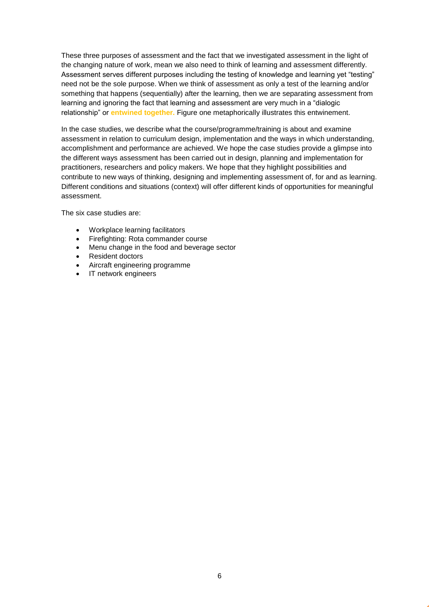These three purposes of assessment and the fact that we investigated assessment in the light of the changing nature of work, mean we also need to think of learning and assessment differently. Assessment serves different purposes including the testing of knowledge and learning yet "testing" need not be the sole purpose. When we think of assessment as only a test of the learning and/or something that happens (sequentially) after the learning, then we are separating assessment from learning and ignoring the fact that learning and assessment are very much in a "dialogic relationship" or **entwined together.** Figure one metaphorically illustrates this entwinement.

In the case studies, we describe what the course/programme/training is about and examine assessment in relation to curriculum design, implementation and the ways in which understanding, accomplishment and performance are achieved. We hope the case studies provide a glimpse into the different ways assessment has been carried out in design, planning and implementation for practitioners, researchers and policy makers. We hope that they highlight possibilities and contribute to new ways of thinking, designing and implementing assessment of, for and as learning. Different conditions and situations (context) will offer different kinds of opportunities for meaningful assessment.

The six case studies are:

- Workplace learning facilitators
- Firefighting: Rota commander course
- Menu change in the food and beverage sector
- Resident doctors
- Aircraft engineering programme
- IT network engineers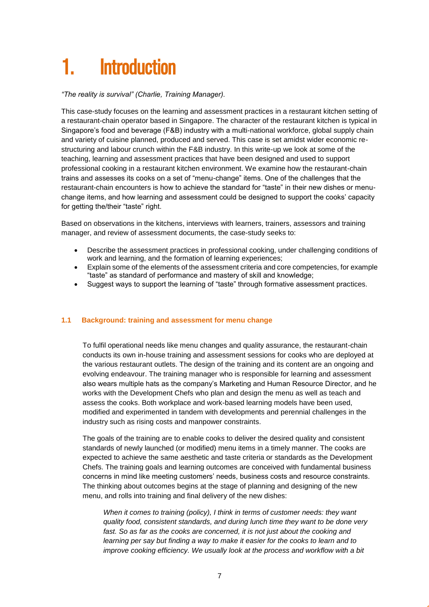## <span id="page-6-0"></span>**Introduction**

*"The reality is survival" (Charlie, Training Manager).* 

This case-study focuses on the learning and assessment practices in a restaurant kitchen setting of a restaurant-chain operator based in Singapore. The character of the restaurant kitchen is typical in Singapore's food and beverage (F&B) industry with a multi-national workforce, global supply chain and variety of cuisine planned, produced and served. This case is set amidst wider economic restructuring and labour crunch within the F&B industry. In this write-up we look at some of the teaching, learning and assessment practices that have been designed and used to support professional cooking in a restaurant kitchen environment. We examine how the restaurant-chain trains and assesses its cooks on a set of "menu-change" items. One of the challenges that the restaurant-chain encounters is how to achieve the standard for "taste" in their new dishes or menuchange items, and how learning and assessment could be designed to support the cooks' capacity for getting the/their "taste" right.

Based on observations in the kitchens, interviews with learners, trainers, assessors and training manager, and review of assessment documents, the case-study seeks to:

- Describe the assessment practices in professional cooking, under challenging conditions of work and learning, and the formation of learning experiences;
- Explain some of the elements of the assessment criteria and core competencies, for example "taste" as standard of performance and mastery of skill and knowledge;
- Suggest ways to support the learning of "taste" through formative assessment practices.

#### <span id="page-6-1"></span>**1.1 Background: training and assessment for menu change**

To fulfil operational needs like menu changes and quality assurance, the restaurant-chain conducts its own in-house training and assessment sessions for cooks who are deployed at the various restaurant outlets. The design of the training and its content are an ongoing and evolving endeavour. The training manager who is responsible for learning and assessment also wears multiple hats as the company's Marketing and Human Resource Director, and he works with the Development Chefs who plan and design the menu as well as teach and assess the cooks. Both workplace and work-based learning models have been used, modified and experimented in tandem with developments and perennial challenges in the industry such as rising costs and manpower constraints.

The goals of the training are to enable cooks to deliver the desired quality and consistent standards of newly launched (or modified) menu items in a timely manner. The cooks are expected to achieve the same aesthetic and taste criteria or standards as the Development Chefs. The training goals and learning outcomes are conceived with fundamental business concerns in mind like meeting customers' needs, business costs and resource constraints. The thinking about outcomes begins at the stage of planning and designing of the new menu, and rolls into training and final delivery of the new dishes:

*When it comes to training (policy), I think in terms of customer needs: they want quality food, consistent standards, and during lunch time they want to be done very fast. So as far as the cooks are concerned, it is not just about the cooking and learning per say but finding a way to make it easier for the cooks to learn and to improve cooking efficiency. We usually look at the process and workflow with a bit*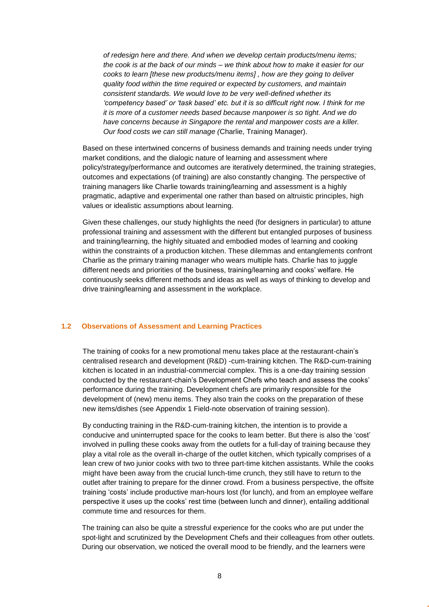*of redesign here and there. And when we develop certain products/menu items; the cook is at the back of our minds – we think about how to make it easier for our cooks to learn [these new products/menu items] , how are they going to deliver quality food within the time required or expected by customers, and maintain consistent standards. We would love to be very well-defined whether its 'competency based' or 'task based' etc. but it is so difficult right now. I think for me it is more of a customer needs based because manpower is so tight. And we do have concerns because in Singapore the rental and manpower costs are a killer. Our food costs we can still manage (*Charlie, Training Manager).

Based on these intertwined concerns of business demands and training needs under trying market conditions, and the dialogic nature of learning and assessment where policy/strategy/performance and outcomes are iteratively determined, the training strategies, outcomes and expectations (of training) are also constantly changing. The perspective of training managers like Charlie towards training/learning and assessment is a highly pragmatic, adaptive and experimental one rather than based on altruistic principles, high values or idealistic assumptions about learning.

Given these challenges, our study highlights the need (for designers in particular) to attune professional training and assessment with the different but entangled purposes of business and training/learning, the highly situated and embodied modes of learning and cooking within the constraints of a production kitchen. These dilemmas and entanglements confront Charlie as the primary training manager who wears multiple hats. Charlie has to juggle different needs and priorities of the business, training/learning and cooks' welfare. He continuously seeks different methods and ideas as well as ways of thinking to develop and drive training/learning and assessment in the workplace.

#### <span id="page-7-0"></span>**1.2 Observations of Assessment and Learning Practices**

The training of cooks for a new promotional menu takes place at the restaurant-chain's centralised research and development (R&D) -cum-training kitchen. The R&D-cum-training kitchen is located in an industrial-commercial complex. This is a one-day training session conducted by the restaurant-chain's Development Chefs who teach and assess the cooks' performance during the training. Development chefs are primarily responsible for the development of (new) menu items. They also train the cooks on the preparation of these new items/dishes (see Appendix 1 Field-note observation of training session).

By conducting training in the R&D-cum-training kitchen, the intention is to provide a conducive and uninterrupted space for the cooks to learn better. But there is also the 'cost' involved in pulling these cooks away from the outlets for a full-day of training because they play a vital role as the overall in-charge of the outlet kitchen, which typically comprises of a lean crew of two junior cooks with two to three part-time kitchen assistants. While the cooks might have been away from the crucial lunch-time crunch, they still have to return to the outlet after training to prepare for the dinner crowd. From a business perspective, the offsite training 'costs' include productive man-hours lost (for lunch), and from an employee welfare perspective it uses up the cooks' rest time (between lunch and dinner), entailing additional commute time and resources for them.

The training can also be quite a stressful experience for the cooks who are put under the spot-light and scrutinized by the Development Chefs and their colleagues from other outlets. During our observation, we noticed the overall mood to be friendly, and the learners were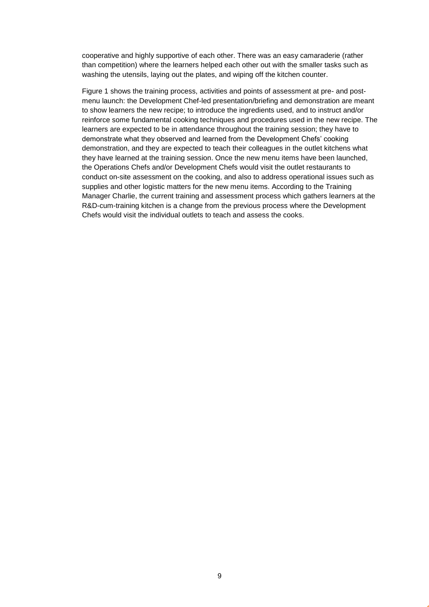cooperative and highly supportive of each other. There was an easy camaraderie (rather than competition) where the learners helped each other out with the smaller tasks such as washing the utensils, laying out the plates, and wiping off the kitchen counter.

Figure 1 shows the training process, activities and points of assessment at pre- and postmenu launch: the Development Chef-led presentation/briefing and demonstration are meant to show learners the new recipe; to introduce the ingredients used, and to instruct and/or reinforce some fundamental cooking techniques and procedures used in the new recipe. The learners are expected to be in attendance throughout the training session; they have to demonstrate what they observed and learned from the Development Chefs' cooking demonstration, and they are expected to teach their colleagues in the outlet kitchens what they have learned at the training session. Once the new menu items have been launched, the Operations Chefs and/or Development Chefs would visit the outlet restaurants to conduct on-site assessment on the cooking, and also to address operational issues such as supplies and other logistic matters for the new menu items. According to the Training Manager Charlie, the current training and assessment process which gathers learners at the R&D-cum-training kitchen is a change from the previous process where the Development Chefs would visit the individual outlets to teach and assess the cooks.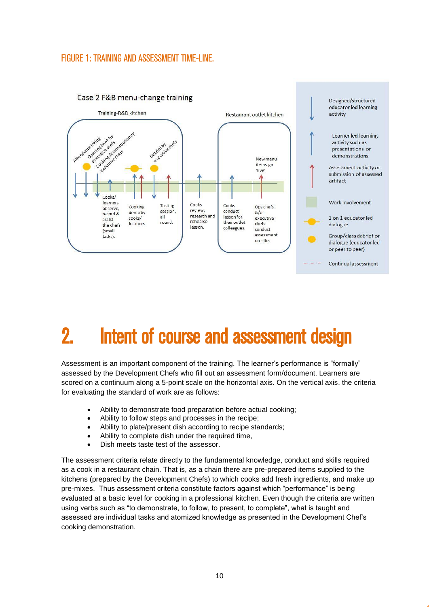#### <span id="page-9-1"></span>FIGURE 1: TRAINING AND ASSESSMENT TIME-LINE.



### <span id="page-9-0"></span>2. Intent of course and assessment design

Assessment is an important component of the training. The learner's performance is "formally" assessed by the Development Chefs who fill out an assessment form/document. Learners are scored on a continuum along a 5-point scale on the horizontal axis. On the vertical axis, the criteria for evaluating the standard of work are as follows:

- Ability to demonstrate food preparation before actual cooking;
- Ability to follow steps and processes in the recipe;
- Ability to plate/present dish according to recipe standards;
- Ability to complete dish under the required time,
- Dish meets taste test of the assessor.

The assessment criteria relate directly to the fundamental knowledge, conduct and skills required as a cook in a restaurant chain. That is, as a chain there are pre-prepared items supplied to the kitchens (prepared by the Development Chefs) to which cooks add fresh ingredients, and make up pre-mixes. Thus assessment criteria constitute factors against which "performance" is being evaluated at a basic level for cooking in a professional kitchen. Even though the criteria are written using verbs such as "to demonstrate, to follow, to present, to complete", what is taught and assessed are individual tasks and atomized knowledge as presented in the Development Chef's cooking demonstration.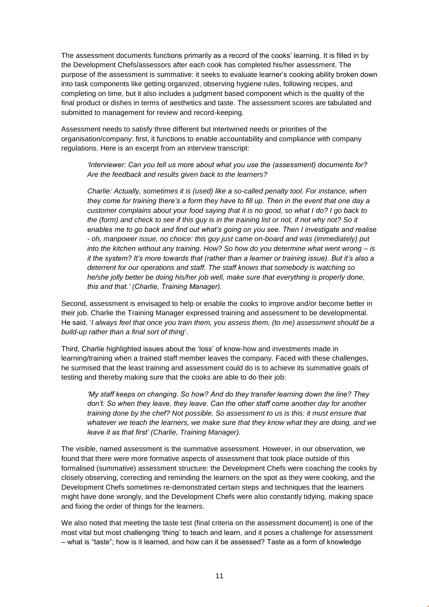The assessment documents functions primarily as a record of the cooks' learning. It is filled in by the Development Chefs/assessors after each cook has completed his/her assessment. The purpose of the assessment is summative: it seeks to evaluate learner's cooking ability broken down into task components like getting organized, observing hygiene rules, following recipes, and completing on time, but it also includes a judgment based component which is the quality of the final product or dishes in terms of aesthetics and taste. The assessment scores are tabulated and submitted to management for review and record-keeping.

Assessment needs to satisfy three different but intertwined needs or priorities of the organisation/company: first, it functions to enable accountability and compliance with company regulations. Here is an excerpt from an interview transcript:

*'Interviewer: Can you tell us more about what you use the (assessment) documents for? Are the feedback and results given back to the learners?*

*Charlie: Actually, sometimes it is (used) like a so-called penalty tool. For instance, when they come for training there's a form they have to fill up. Then in the event that one day a customer complains about your food saying that it is no good, so what I do? I go back to the (form) and check to see if this guy is in the training list or not, if not why not? So it enables me to go back and find out what's going on you see. Then I investigate and realise - oh, manpower issue, no choice: this guy just came on-board and was (immediately) put into the kitchen without any training. How? So how do you determine what went wrong – is it the system? It's more towards that (rather than a learner or training issue). But it's also a deterrent for our operations and staff. The staff knows that somebody is watching so he/she jolly better be doing his/her job well, make sure that everything is properly done, this and that.' (Charlie, Training Manager).*

Second, assessment is envisaged to help or enable the cooks to improve and/or become better in their job. Charlie the Training Manager expressed training and assessment to be developmental. He said, '*I always feel that once you train them, you assess them, (to me) assessment should be a build-up rather than a final sort of thing*'.

Third, Charlie highlighted issues about the 'loss' of know-how and investments made in learning/training when a trained staff member leaves the company. Faced with these challenges, he surmised that the least training and assessment could do is to achieve its summative goals of testing and thereby making sure that the cooks are able to do their job:

*'My staff keeps on changing. So how? And do they transfer learning down the line? They don't. So when they leave, they leave. Can the other staff come another day for another training done by the chef? Not possible. So assessment to us is this: it must ensure that whatever we teach the learners, we make sure that they know what they are doing, and we leave it as that first' (Charlie, Training Manager).* 

The visible, named assessment is the summative assessment. However, in our observation, we found that there were more formative aspects of assessment that took place outside of this formalised (summative) assessment structure: the Development Chefs were coaching the cooks by closely observing, correcting and reminding the learners on the spot as they were cooking, and the Development Chefs sometimes re-demonstrated certain steps and techniques that the learners might have done wrongly, and the Development Chefs were also constantly tidying, making space and fixing the order of things for the learners.

We also noted that meeting the taste test (final criteria on the assessment document) is one of the most vital but most challenging 'thing' to teach and learn, and it poses a challenge for assessment – what is "taste"; how is it learned, and how can it be assessed? Taste as a form of knowledge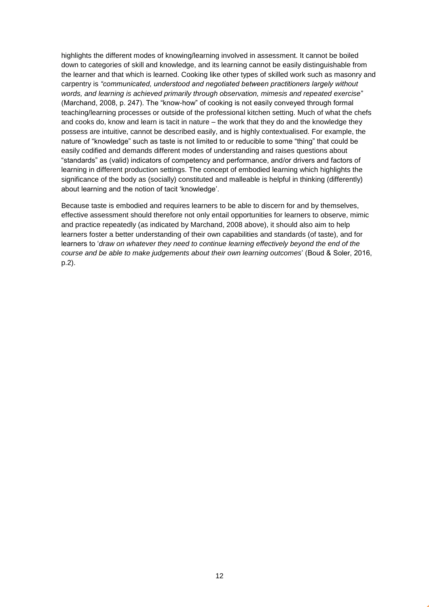highlights the different modes of knowing/learning involved in assessment. It cannot be boiled down to categories of skill and knowledge, and its learning cannot be easily distinguishable from the learner and that which is learned. Cooking like other types of skilled work such as masonry and carpentry is *"communicated, understood and negotiated between practitioners largely without words, and learning is achieved primarily through observation, mimesis and repeated exercise*" (Marchand, 2008, p. 247). The "know-how" of cooking is not easily conveyed through formal teaching/learning processes or outside of the professional kitchen setting. Much of what the chefs and cooks do, know and learn is tacit in nature – the work that they do and the knowledge they possess are intuitive, cannot be described easily, and is highly contextualised. For example, the nature of "knowledge" such as taste is not limited to or reducible to some "thing" that could be easily codified and demands different modes of understanding and raises questions about "standards" as (valid) indicators of competency and performance, and/or drivers and factors of learning in different production settings. The concept of embodied learning which highlights the significance of the body as (socially) constituted and malleable is helpful in thinking (differently) about learning and the notion of tacit 'knowledge'.

Because taste is embodied and requires learners to be able to discern for and by themselves, effective assessment should therefore not only entail opportunities for learners to observe, mimic and practice repeatedly (as indicated by Marchand, 2008 above), it should also aim to help learners foster a better understanding of their own capabilities and standards (of taste), and for learners to '*draw on whatever they need to continue learning effectively beyond the end of the course and be able to make judgements about their own learning outcomes*' (Boud & Soler, 2016, p.2).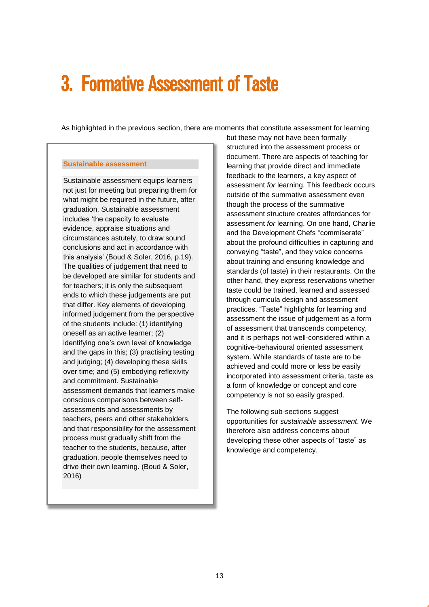### <span id="page-12-0"></span>3. Formative Assessment of Taste

As highlighted in the previous section, there are moments that constitute assessment for learning

#### **Sustainable assessment**

Sustainable assessment equips learners not just for meeting but preparing them for what might be required in the future, after graduation. Sustainable assessment includes 'the capacity to evaluate evidence, appraise situations and circumstances astutely, to draw sound conclusions and act in accordance with this analysis' (Boud & Soler, 2016, p.19). The qualities of judgement that need to be developed are similar for students and for teachers; it is only the subsequent ends to which these judgements are put that differ. Key elements of developing informed judgement from the perspective of the students include: (1) identifying oneself as an active learner; (2) identifying one's own level of knowledge and the gaps in this; (3) practising testing and judging; (4) developing these skills over time; and (5) embodying reflexivity and commitment. Sustainable assessment demands that learners make conscious comparisons between selfassessments and assessments by teachers, peers and other stakeholders, and that responsibility for the assessment process must gradually shift from the teacher to the students, because, after graduation, people themselves need to drive their own learning. (Boud & Soler, 2016)

but these may not have been formally structured into the assessment process or document. There are aspects of teaching for learning that provide direct and immediate feedback to the learners, a key aspect of assessment *for* learning. This feedback occurs outside of the summative assessment even though the process of the summative assessment structure creates affordances for assessment *for* learning. On one hand, Charlie and the Development Chefs "commiserate" about the profound difficulties in capturing and conveying "taste", and they voice concerns about training and ensuring knowledge and standards (of taste) in their restaurants. On the other hand, they express reservations whether taste could be trained, learned and assessed through curricula design and assessment practices. "Taste" highlights for learning and assessment the issue of judgement as a form of assessment that transcends competency, and it is perhaps not well-considered within a cognitive-behavioural oriented assessment system. While standards of taste are to be achieved and could more or less be easily incorporated into assessment criteria, taste as a form of knowledge or concept and core competency is not so easily grasped.

The following sub-sections suggest opportunities for *sustainable assessment*. We therefore also address concerns about developing these other aspects of "taste" as knowledge and competency.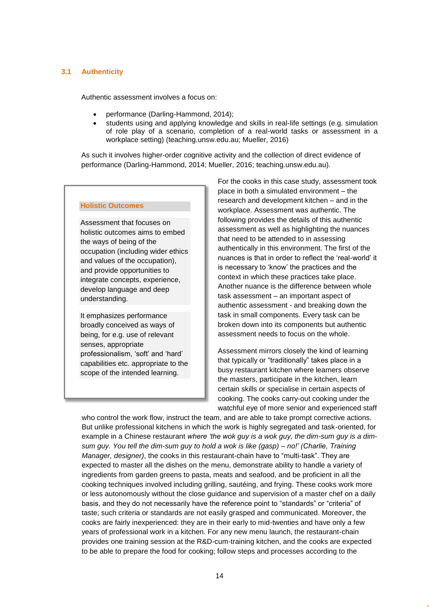#### <span id="page-13-0"></span>**3.1 Authenticity**

Authentic assessment involves a focus on:

- performance (Darling-Hammond, 2014);
- students using and applying knowledge and skills in real-life settings (e.g. simulation of role play of a scenario, completion of a real-world tasks or assessment in a workplace setting) (teaching.unsw.edu.au; Mueller, 2016)

As such it involves higher-order cognitive activity and the collection of direct evidence of performance (Darling-Hammond, 2014; Mueller, 2016; teaching.unsw.edu.au).

#### **Holistic Outcomes**

Assessment that focuses on holistic outcomes aims to embed the ways of being of the occupation (including wider ethics and values of the occupation), and provide opportunities to integrate concepts, experience, develop language and deep understanding.

It emphasizes performance broadly conceived as ways of being, for e.g. use of relevant senses, appropriate professionalism, 'soft' and 'hard' capabilities etc. appropriate to the scope of the intended learning.

For the cooks in this case study, assessment took place in both a simulated environment – the research and development kitchen – and in the workplace. Assessment was authentic. The following provides the details of this authentic assessment as well as highlighting the nuances that need to be attended to in assessing authentically in this environment. The first of the nuances is that in order to reflect the 'real-world' it is necessary to 'know' the practices and the context in which these practices take place. Another nuance is the difference between whole task assessment – an important aspect of authentic assessment - and breaking down the task in small components. Every task can be broken down into its components but authentic assessment needs to focus on the whole.

Assessment mirrors closely the kind of learning that typically or "traditionally" takes place in a busy restaurant kitchen where learners observe the masters, participate in the kitchen, learn certain skills or specialise in certain aspects of cooking. The cooks carry-out cooking under the watchful eye of more senior and experienced staff

who control the work flow, instruct the team, and are able to take prompt corrective actions. But unlike professional kitchens in which the work is highly segregated and task-oriented, for example in a Chinese restaurant *where 'the wok guy is a wok guy, the dim-sum guy is a dimsum guy. You tell the dim-sum guy to hold a wok is like (gasp) – no!' (Charlie, Training Manager, designer)*, the cooks in this restaurant-chain have to "multi-task". They are expected to master all the dishes on the menu, demonstrate ability to handle a variety of ingredients from garden greens to pasta, meats and seafood, and be proficient in all the cooking techniques involved including grilling, sautéing, and frying. These cooks work more or less autonomously without the close guidance and supervision of a master chef on a daily basis, and they do not necessarily have the reference point to "standards" or "criteria" of taste; such criteria or standards are not easily grasped and communicated. Moreover, the cooks are fairly inexperienced: they are in their early to mid-twenties and have only a few years of professional work in a kitchen. For any new menu launch, the restaurant-chain provides one training session at the R&D-cum-training kitchen, and the cooks are expected to be able to prepare the food for cooking; follow steps and processes according to the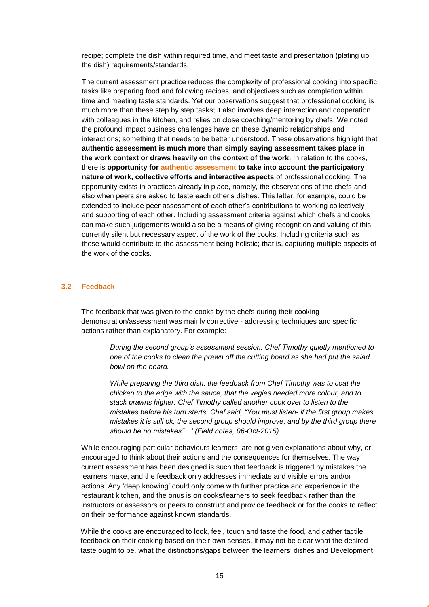recipe; complete the dish within required time, and meet taste and presentation (plating up the dish) requirements/standards.

The current assessment practice reduces the complexity of professional cooking into specific tasks like preparing food and following recipes, and objectives such as completion within time and meeting taste standards. Yet our observations suggest that professional cooking is much more than these step by step tasks; it also involves deep interaction and cooperation with colleagues in the kitchen, and relies on close coaching/mentoring by chefs. We noted the profound impact business challenges have on these dynamic relationships and interactions; something that needs to be better understood. These observations highlight that **authentic assessment is much more than simply saying assessment takes place in the work context or draws heavily on the context of the work**. In relation to the cooks, there is **opportunity for authentic assessment to take into account the participatory nature of work, collective efforts and interactive aspects** of professional cooking. The opportunity exists in practices already in place, namely, the observations of the chefs and also when peers are asked to taste each other's dishes. This latter, for example, could be extended to include peer assessment of each other's contributions to working collectively and supporting of each other. Including assessment criteria against which chefs and cooks can make such judgements would also be a means of giving recognition and valuing of this currently silent but necessary aspect of the work of the cooks. Including criteria such as these would contribute to the assessment being holistic; that is, capturing multiple aspects of the work of the cooks.

#### <span id="page-14-0"></span>**3.2 Feedback**

The feedback that was given to the cooks by the chefs during their cooking demonstration/assessment was mainly corrective - addressing techniques and specific actions rather than explanatory. For example:

> *During the second group's assessment session, Chef Timothy quietly mentioned to one of the cooks to clean the prawn off the cutting board as she had put the salad bowl on the board.*

> *While preparing the third dish, the feedback from Chef Timothy was to coat the chicken to the edge with the sauce, that the vegies needed more colour, and to stack prawns higher. Chef Timothy called another cook over to listen to the mistakes before his turn starts. Chef said, "You must listen- if the first group makes mistakes it is still ok, the second group should improve, and by the third group there should be no mistakes"…' (Field notes, 06-Oct-2015).*

While encouraging particular behaviours learners are not given explanations about why, or encouraged to think about their actions and the consequences for themselves. The way current assessment has been designed is such that feedback is triggered by mistakes the learners make, and the feedback only addresses immediate and visible errors and/or actions. Any 'deep knowing' could only come with further practice and experience in the restaurant kitchen, and the onus is on cooks/learners to seek feedback rather than the instructors or assessors or peers to construct and provide feedback or for the cooks to reflect on their performance against known standards.

While the cooks are encouraged to look, feel, touch and taste the food, and gather tactile feedback on their cooking based on their own senses, it may not be clear what the desired taste ought to be, what the distinctions/gaps between the learners' dishes and Development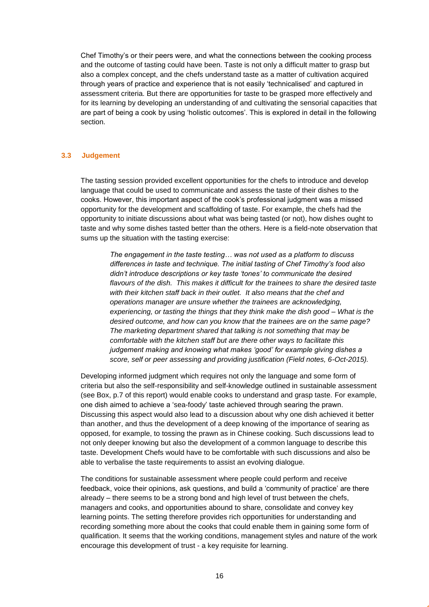Chef Timothy's or their peers were, and what the connections between the cooking process and the outcome of tasting could have been. Taste is not only a difficult matter to grasp but also a complex concept, and the chefs understand taste as a matter of cultivation acquired through years of practice and experience that is not easily 'technicalised' and captured in assessment criteria. But there are opportunities for taste to be grasped more effectively and for its learning by developing an understanding of and cultivating the sensorial capacities that are part of being a cook by using 'holistic outcomes'. This is explored in detail in the following section.

#### <span id="page-15-0"></span>**3.3 Judgement**

The tasting session provided excellent opportunities for the chefs to introduce and develop language that could be used to communicate and assess the taste of their dishes to the cooks. However, this important aspect of the cook's professional judgment was a missed opportunity for the development and scaffolding of taste. For example, the chefs had the opportunity to initiate discussions about what was being tasted (or not), how dishes ought to taste and why some dishes tasted better than the others. Here is a field-note observation that sums up the situation with the tasting exercise:

*The engagement in the taste testing… was not used as a platform to discuss differences in taste and technique. The initial tasting of Chef Timothy's food also didn't introduce descriptions or key taste 'tones' to communicate the desired flavours of the dish. This makes it difficult for the trainees to share the desired taste with their kitchen staff back in their outlet. It also means that the chef and operations manager are unsure whether the trainees are acknowledging, experiencing, or tasting the things that they think make the dish good – What is the desired outcome, and how can you know that the trainees are on the same page? The marketing department shared that talking is not something that may be comfortable with the kitchen staff but are there other ways to facilitate this judgement making and knowing what makes 'good' for example giving dishes a score, self or peer assessing and providing justification (Field notes, 6-Oct-2015).*

Developing informed judgment which requires not only the language and some form of criteria but also the self-responsibility and self-knowledge outlined in sustainable assessment (see Box, p.7 of this report) would enable cooks to understand and grasp taste. For example, one dish aimed to achieve a 'sea-foody' taste achieved through searing the prawn. Discussing this aspect would also lead to a discussion about why one dish achieved it better than another, and thus the development of a deep knowing of the importance of searing as opposed, for example, to tossing the prawn as in Chinese cooking. Such discussions lead to not only deeper knowing but also the development of a common language to describe this taste. Development Chefs would have to be comfortable with such discussions and also be able to verbalise the taste requirements to assist an evolving dialogue.

The conditions for sustainable assessment where people could perform and receive feedback, voice their opinions, ask questions, and build a 'community of practice' are there already – there seems to be a strong bond and high level of trust between the chefs, managers and cooks, and opportunities abound to share, consolidate and convey key learning points. The setting therefore provides rich opportunities for understanding and recording something more about the cooks that could enable them in gaining some form of qualification. It seems that the working conditions, management styles and nature of the work encourage this development of trust - a key requisite for learning.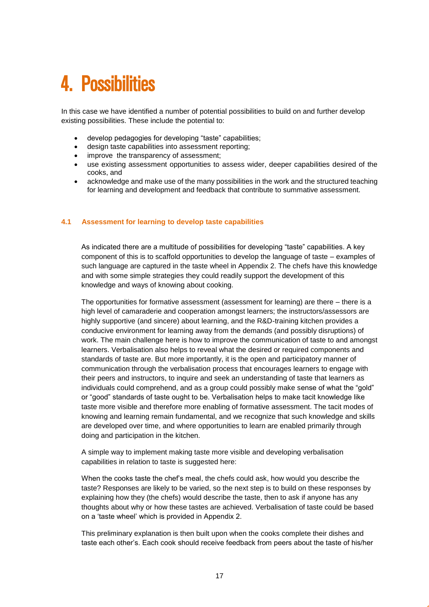### <span id="page-16-0"></span>4. Possibilities

In this case we have identified a number of potential possibilities to build on and further develop existing possibilities. These include the potential to:

- develop pedagogies for developing "taste" capabilities;
- design taste capabilities into assessment reporting;
- improve the transparency of assessment:
- use existing assessment opportunities to assess wider, deeper capabilities desired of the cooks, and
- acknowledge and make use of the many possibilities in the work and the structured teaching for learning and development and feedback that contribute to summative assessment.

#### <span id="page-16-1"></span>**4.1 Assessment for learning to develop taste capabilities**

As indicated there are a multitude of possibilities for developing "taste" capabilities. A key component of this is to scaffold opportunities to develop the language of taste – examples of such language are captured in the taste wheel in Appendix 2. The chefs have this knowledge and with some simple strategies they could readily support the development of this knowledge and ways of knowing about cooking.

The opportunities for formative assessment (assessment for learning) are there – there is a high level of camaraderie and cooperation amongst learners; the instructors/assessors are highly supportive (and sincere) about learning, and the R&D-training kitchen provides a conducive environment for learning away from the demands (and possibly disruptions) of work. The main challenge here is how to improve the communication of taste to and amongst learners. Verbalisation also helps to reveal what the desired or required components and standards of taste are. But more importantly, it is the open and participatory manner of communication through the verbalisation process that encourages learners to engage with their peers and instructors, to inquire and seek an understanding of taste that learners as individuals could comprehend, and as a group could possibly make sense of what the "gold" or "good" standards of taste ought to be. Verbalisation helps to make tacit knowledge like taste more visible and therefore more enabling of formative assessment. The tacit modes of knowing and learning remain fundamental, and we recognize that such knowledge and skills are developed over time, and where opportunities to learn are enabled primarily through doing and participation in the kitchen.

A simple way to implement making taste more visible and developing verbalisation capabilities in relation to taste is suggested here:

When the cooks taste the chef's meal, the chefs could ask, how would you describe the taste? Responses are likely to be varied, so the next step is to build on these responses by explaining how they (the chefs) would describe the taste, then to ask if anyone has any thoughts about why or how these tastes are achieved. Verbalisation of taste could be based on a 'taste wheel' which is provided in Appendix 2.

This preliminary explanation is then built upon when the cooks complete their dishes and taste each other's. Each cook should receive feedback from peers about the taste of his/her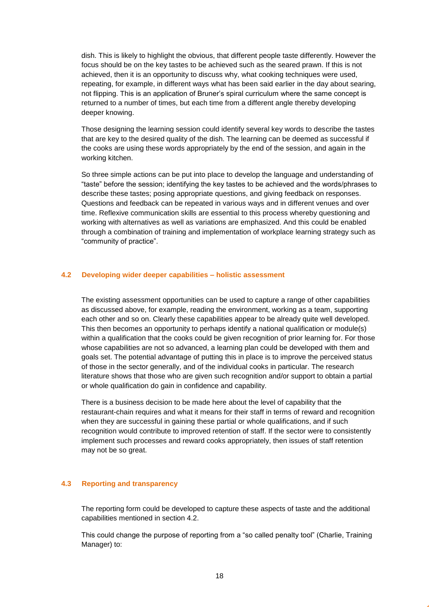dish. This is likely to highlight the obvious, that different people taste differently. However the focus should be on the key tastes to be achieved such as the seared prawn. If this is not achieved, then it is an opportunity to discuss why, what cooking techniques were used, repeating, for example, in different ways what has been said earlier in the day about searing, not flipping. This is an application of Bruner's spiral curriculum where the same concept is returned to a number of times, but each time from a different angle thereby developing deeper knowing.

Those designing the learning session could identify several key words to describe the tastes that are key to the desired quality of the dish. The learning can be deemed as successful if the cooks are using these words appropriately by the end of the session, and again in the working kitchen.

So three simple actions can be put into place to develop the language and understanding of "taste" before the session; identifying the key tastes to be achieved and the words/phrases to describe these tastes; posing appropriate questions, and giving feedback on responses. Questions and feedback can be repeated in various ways and in different venues and over time. Reflexive communication skills are essential to this process whereby questioning and working with alternatives as well as variations are emphasized. And this could be enabled through a combination of training and implementation of workplace learning strategy such as "community of practice".

#### <span id="page-17-0"></span>**4.2 Developing wider deeper capabilities – holistic assessment**

The existing assessment opportunities can be used to capture a range of other capabilities as discussed above, for example, reading the environment, working as a team, supporting each other and so on. Clearly these capabilities appear to be already quite well developed. This then becomes an opportunity to perhaps identify a national qualification or module(s) within a qualification that the cooks could be given recognition of prior learning for. For those whose capabilities are not so advanced, a learning plan could be developed with them and goals set. The potential advantage of putting this in place is to improve the perceived status of those in the sector generally, and of the individual cooks in particular. The research literature shows that those who are given such recognition and/or support to obtain a partial or whole qualification do gain in confidence and capability.

There is a business decision to be made here about the level of capability that the restaurant-chain requires and what it means for their staff in terms of reward and recognition when they are successful in gaining these partial or whole qualifications, and if such recognition would contribute to improved retention of staff. If the sector were to consistently implement such processes and reward cooks appropriately, then issues of staff retention may not be so great.

#### <span id="page-17-1"></span>**4.3 Reporting and transparency**

The reporting form could be developed to capture these aspects of taste and the additional capabilities mentioned in section 4.2.

This could change the purpose of reporting from a "so called penalty tool" (Charlie, Training Manager) to: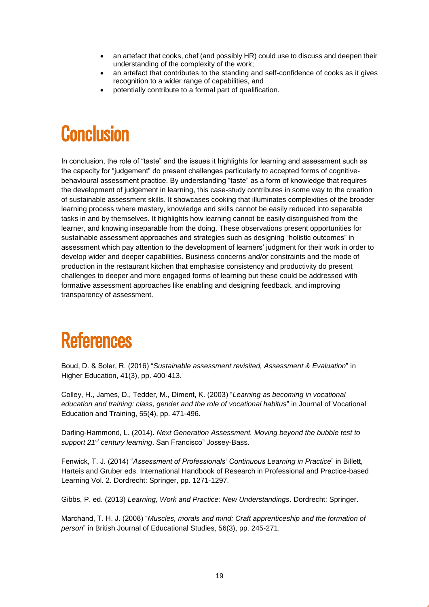- an artefact that cooks, chef (and possibly HR) could use to discuss and deepen their understanding of the complexity of the work;
- an artefact that contributes to the standing and self-confidence of cooks as it gives recognition to a wider range of capabilities, and
- potentially contribute to a formal part of qualification.

### <span id="page-18-0"></span>**Conclusion**

In conclusion, the role of "taste" and the issues it highlights for learning and assessment such as the capacity for "judgement" do present challenges particularly to accepted forms of cognitivebehavioural assessment practice. By understanding "taste" as a form of knowledge that requires the development of judgement in learning, this case-study contributes in some way to the creation of sustainable assessment skills. It showcases cooking that illuminates complexities of the broader learning process where mastery, knowledge and skills cannot be easily reduced into separable tasks in and by themselves. It highlights how learning cannot be easily distinguished from the learner, and knowing inseparable from the doing. These observations present opportunities for sustainable assessment approaches and strategies such as designing "holistic outcomes" in assessment which pay attention to the development of learners' judgment for their work in order to develop wider and deeper capabilities. Business concerns and/or constraints and the mode of production in the restaurant kitchen that emphasise consistency and productivity do present challenges to deeper and more engaged forms of learning but these could be addressed with formative assessment approaches like enabling and designing feedback, and improving transparency of assessment.

### References

Boud, D. & Soler, R. (2016) "*Sustainable assessment revisited, Assessment & Evaluation*" in Higher Education, 41(3), pp. 400-413.

Colley, H., James, D., Tedder, M., Diment, K. (2003) "*Learning as becoming in vocational education and training: class, gender and the role of vocational habitus*" in Journal of Vocational Education and Training, 55(4), pp. 471-496.

Darling-Hammond, L. (2014). *Next Generation Assessment. Moving beyond the bubble test to support 21st century learning*. San Francisco" Jossey-Bass.

Fenwick, T. J. (2014) "*Assessment of Professionals' Continuous Learning in Practice*" in Billett, Harteis and Gruber eds. International Handbook of Research in Professional and Practice-based Learning Vol. 2. Dordrecht: Springer, pp. 1271-1297.

Gibbs, P. ed. (2013) *Learning, Work and Practice: New Understandings*. Dordrecht: Springer.

Marchand, T. H. J. (2008) "*Muscles, morals and mind: Craft apprenticeship and the formation of person*" in British Journal of Educational Studies, 56(3), pp. 245-271.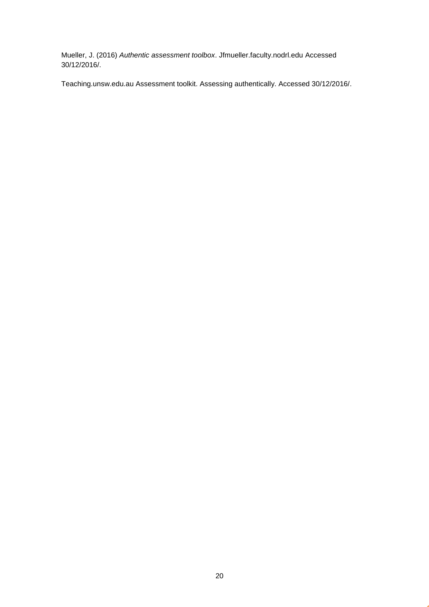Mueller, J. (2016) *Authentic assessment toolbox*. Jfmueller.faculty.nodrl.edu Accessed 30/12/2016/.

Teaching.unsw.edu.au Assessment toolkit. Assessing authentically. Accessed 30/12/2016/.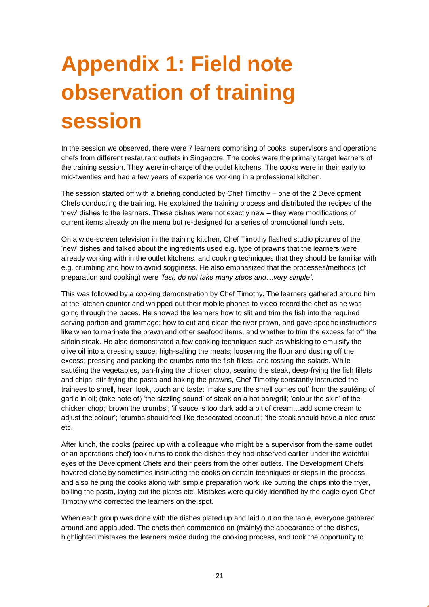# <span id="page-20-0"></span>**Appendix 1: Field note observation of training session**

In the session we observed, there were 7 learners comprising of cooks, supervisors and operations chefs from different restaurant outlets in Singapore. The cooks were the primary target learners of the training session. They were in-charge of the outlet kitchens. The cooks were in their early to mid-twenties and had a few years of experience working in a professional kitchen.

The session started off with a briefing conducted by Chef Timothy – one of the 2 Development Chefs conducting the training. He explained the training process and distributed the recipes of the 'new' dishes to the learners. These dishes were not exactly new – they were modifications of current items already on the menu but re-designed for a series of promotional lunch sets.

On a wide-screen television in the training kitchen, Chef Timothy flashed studio pictures of the 'new' dishes and talked about the ingredients used e.g. type of prawns that the learners were already working with in the outlet kitchens, and cooking techniques that they should be familiar with e.g. crumbing and how to avoid sogginess. He also emphasized that the processes/methods (of preparation and cooking) were *'fast, do not take many steps and…very simple'*.

This was followed by a cooking demonstration by Chef Timothy. The learners gathered around him at the kitchen counter and whipped out their mobile phones to video-record the chef as he was going through the paces. He showed the learners how to slit and trim the fish into the required serving portion and grammage; how to cut and clean the river prawn, and gave specific instructions like when to marinate the prawn and other seafood items, and whether to trim the excess fat off the sirloin steak. He also demonstrated a few cooking techniques such as whisking to emulsify the olive oil into a dressing sauce; high-salting the meats; loosening the flour and dusting off the excess; pressing and packing the crumbs onto the fish fillets; and tossing the salads. While sautéing the vegetables, pan-frying the chicken chop, searing the steak, deep-frying the fish fillets and chips, stir-frying the pasta and baking the prawns, Chef Timothy constantly instructed the trainees to smell, hear, look, touch and taste: 'make sure the smell comes out' from the sautéing of garlic in oil; (take note of) 'the sizzling sound' of steak on a hot pan/grill; 'colour the skin' of the chicken chop; 'brown the crumbs'; 'if sauce is too dark add a bit of cream…add some cream to adjust the colour'; 'crumbs should feel like desecrated coconut'; 'the steak should have a nice crust' etc.

After lunch, the cooks (paired up with a colleague who might be a supervisor from the same outlet or an operations chef) took turns to cook the dishes they had observed earlier under the watchful eyes of the Development Chefs and their peers from the other outlets. The Development Chefs hovered close by sometimes instructing the cooks on certain techniques or steps in the process, and also helping the cooks along with simple preparation work like putting the chips into the fryer, boiling the pasta, laying out the plates etc. Mistakes were quickly identified by the eagle-eyed Chef Timothy who corrected the learners on the spot.

When each group was done with the dishes plated up and laid out on the table, everyone gathered around and applauded. The chefs then commented on (mainly) the appearance of the dishes, highlighted mistakes the learners made during the cooking process, and took the opportunity to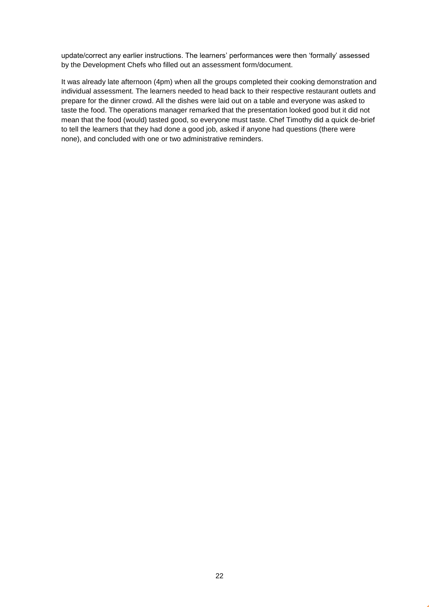update/correct any earlier instructions. The learners' performances were then 'formally' assessed by the Development Chefs who filled out an assessment form/document.

It was already late afternoon (4pm) when all the groups completed their cooking demonstration and individual assessment. The learners needed to head back to their respective restaurant outlets and prepare for the dinner crowd. All the dishes were laid out on a table and everyone was asked to taste the food. The operations manager remarked that the presentation looked good but it did not mean that the food (would) tasted good, so everyone must taste. Chef Timothy did a quick de-brief to tell the learners that they had done a good job, asked if anyone had questions (there were none), and concluded with one or two administrative reminders.